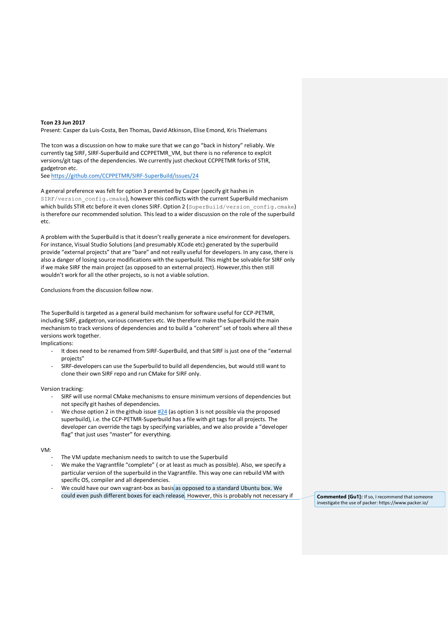## **Tcon 23 Jun 2017**

Present: Casper da Luis-Costa, Ben Thomas, David Atkinson, Elise Emond, Kris Thielemans

The tcon was a discussion on how to make sure that we can go "back in history" reliably. We currently tag SIRF, SIRF-SuperBuild and CCPPETMR\_VM, but there is no reference to explcit versions/git tags of the dependencies. We currently just checkout CCPPETMR forks of STIR, gadgetron etc.

See<https://github.com/CCPPETMR/SIRF-SuperBuild/issues/24>

A general preference was felt for option 3 presented by Casper (specify git hashes in SIRF/version config.cmake), however this conflicts with the current SuperBuild mechanism which builds STIR etc before it even clones SIRF. Option 2 (SuperBuild/version config.cmake) is therefore our recommended solution. This lead to a wider discussion on the role of the superbuild etc.

A problem with the SuperBuild is that it doesn't really generate a nice environment for developers. For instance, Visual Studio Solutions (and presumably XCode etc) generated by the superbuild provide "external projects" that are "bare" and not really useful for developers. In any case, there is also a danger of losing source modifications with the superbuild. This might be solvable for SIRF only if we make SIRF the main project (as opposed to an external project). However,this then still wouldn't work for all the other projects, so is not a viable solution.

Conclusions from the discussion follow now.

The SuperBuild is targeted as a general build mechanism for software useful for CCP-PETMR, including SIRF, gadgetron, various converters etc. We therefore make the SuperBuild the main mechanism to track versions of dependencies and to build a "coherent" set of tools where all these versions work together.

Implications:

- It does need to be renamed from SIRF-SuperBuild, and that SIRF is just one of the "external projects"
- SIRF-developers can use the Superbuild to build all dependencies, but would still want to clone their own SIRF repo and run CMake for SIRF only.

Version tracking:

- SIRF will use normal CMake mechanisms to ensure minimum versions of dependencies but not specify git hashes of dependencies.
- We chose option 2 in the github issue  $#24$  (as option 3 is not possible via the proposed superbuild), i.e. the CCP-PETMR-Superbuild has a file with git tags for all projects. The developer can override the tags by specifying variables, and we also provide a "developer flag" that just uses "master" for everything.

## VM:

- The VM update mechanism needs to switch to use the Superbuild
- We make the Vagrantfile "complete" ( or at least as much as possible). Also, we specify a particular version of the superbuild in the Vagrantfile. This way one can rebuild VM with specific OS, compiler and all dependencies.
- We could have our own vagrant-box as basis as opposed to a standard Ubuntu box. We could even push different boxes for each release. However, this is probably not necessary if **Commented [Gu1]:** If so, I recommend that someone

investigate the use of packer: https://www.packer.io/